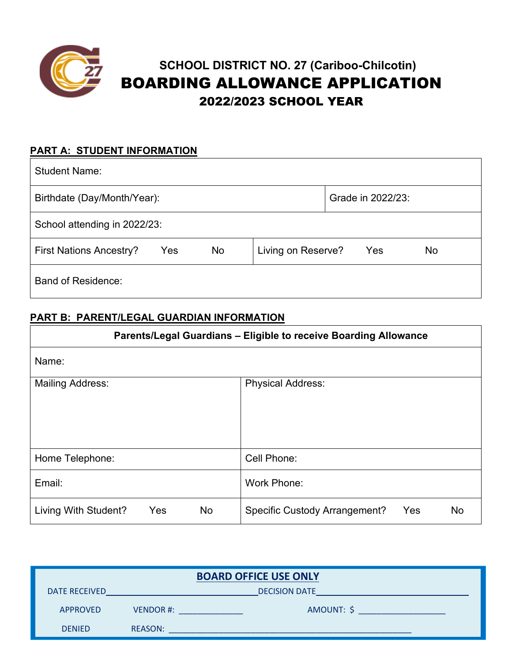

# **SCHOOL DISTRICT NO. 27 (Cariboo-Chilcotin)** BOARDING ALLOWANCE APPLICATION 2022/2023 SCHOOL YEAR

## **PART A: STUDENT INFORMATION**

| <b>Student Name:</b>                        |                                 |  |
|---------------------------------------------|---------------------------------|--|
| Birthdate (Day/Month/Year):                 | Grade in 2022/23:               |  |
| School attending in 2022/23:                |                                 |  |
| No<br><b>First Nations Ancestry?</b><br>Yes | Living on Reserve?<br>Yes<br>No |  |
| <b>Band of Residence:</b>                   |                                 |  |

### **PART B: PARENT/LEGAL GUARDIAN INFORMATION**

| Parents/Legal Guardians - Eligible to receive Boarding Allowance |                                                   |  |
|------------------------------------------------------------------|---------------------------------------------------|--|
| Name:                                                            |                                                   |  |
| <b>Mailing Address:</b>                                          | <b>Physical Address:</b>                          |  |
| Home Telephone:                                                  | Cell Phone:                                       |  |
| Email:                                                           | <b>Work Phone:</b>                                |  |
| Living With Student?<br>Yes<br>No                                | <b>Specific Custody Arrangement?</b><br>Yes<br>No |  |

| <b>BOARD OFFICE USE ONLY</b> |                        |  |  |
|------------------------------|------------------------|--|--|
| <b>DATE RECEIVED</b>         | <b>DECISION DATE</b>   |  |  |
| <b>APPROVED</b>              | AMOUNT: \$<br>VENDOR#: |  |  |
| <b>DENIED</b>                | <b>REASON:</b>         |  |  |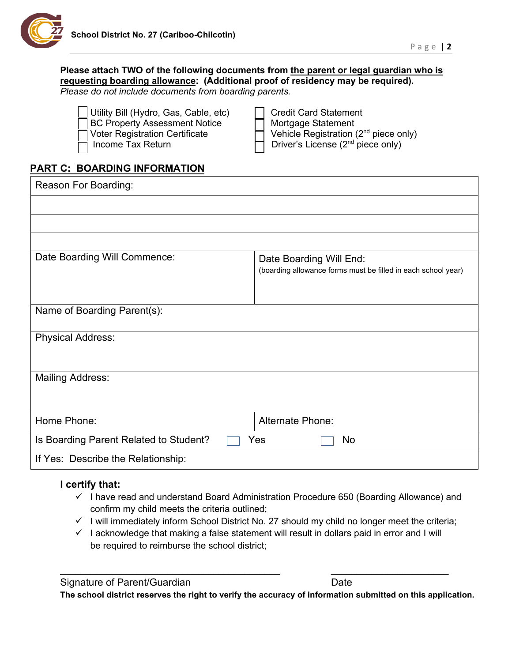

#### **Please attach TWO of the following documents from the parent or legal guardian who is requesting boarding allowance: (Additional proof of residency may be required).**  *Please do not include documents from boarding parents.*

| Credit Card Statement                                    |
|----------------------------------------------------------|
| ヿ Mortgage Statement                                     |
| $\Box$ Vehicle Registration (2 <sup>nd</sup> piece only) |
| $\Box$ Driver's License (2 <sup>nd</sup> piece only)     |
|                                                          |

# **PART C: BOARDING INFORMATION**

| Reason For Boarding:                   |                                                                                          |
|----------------------------------------|------------------------------------------------------------------------------------------|
|                                        |                                                                                          |
|                                        |                                                                                          |
|                                        |                                                                                          |
| Date Boarding Will Commence:           | Date Boarding Will End:<br>(boarding allowance forms must be filled in each school year) |
| Name of Boarding Parent(s):            |                                                                                          |
| <b>Physical Address:</b>               |                                                                                          |
| <b>Mailing Address:</b>                |                                                                                          |
| Home Phone:                            | <b>Alternate Phone:</b>                                                                  |
| Is Boarding Parent Related to Student? | Yes<br><b>No</b>                                                                         |
| If Yes: Describe the Relationship:     |                                                                                          |

#### **I certify that:**

- $\checkmark$  I have read and understand Board Administration Procedure 650 (Boarding Allowance) and confirm my child meets the criteria outlined;
- $\checkmark$  I will immediately inform School District No. 27 should my child no longer meet the criteria;
- $\checkmark$  I acknowledge that making a false statement will result in dollars paid in error and I will be required to reimburse the school district;

 $\overline{\phantom{a}}$  , and the contribution of the contribution of the contribution of the contribution of the contribution of the contribution of the contribution of the contribution of the contribution of the contribution of the

**The school district reserves the right to verify the accuracy of information submitted on this application.**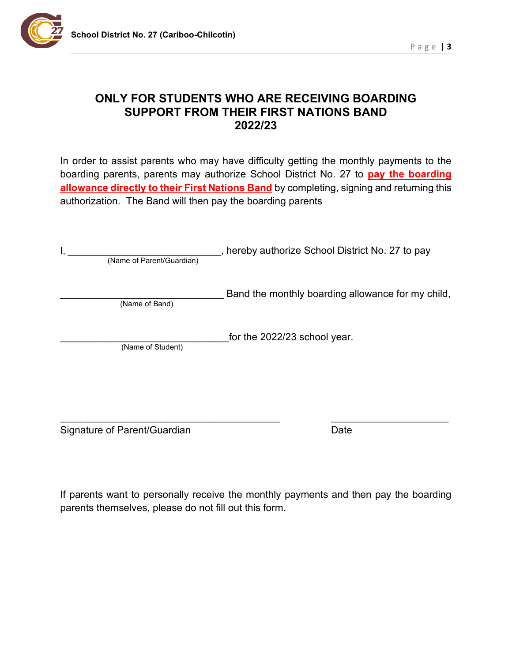

# **ONLY FOR STUDENTS WHO ARE RECEIVING BOARDING SUPPORT FROM THEIR FIRST NATIONS BAND 2022/23**

In order to assist parents who may have difficulty getting the monthly payments to the boarding parents, parents may authorize School District No. 27 to **pay the boarding allowance directly to their First Nations Band** by completing, signing and returning this authorization. The Band will then pay the boarding parents

| (Name of Parent/Guardian) | hereby authorize School District No. 27 to pay    |
|---------------------------|---------------------------------------------------|
| (Name of Band)            | Band the monthly boarding allowance for my child, |
| (Name of Student)         | for the 2022/23 school year.                      |
|                           |                                                   |

Signature of Parent/Guardian Date

If parents want to personally receive the monthly payments and then pay the boarding parents themselves, please do not fill out this form.

 $\frac{1}{2}$  ,  $\frac{1}{2}$  ,  $\frac{1}{2}$  ,  $\frac{1}{2}$  ,  $\frac{1}{2}$  ,  $\frac{1}{2}$  ,  $\frac{1}{2}$  ,  $\frac{1}{2}$  ,  $\frac{1}{2}$  ,  $\frac{1}{2}$  ,  $\frac{1}{2}$  ,  $\frac{1}{2}$  ,  $\frac{1}{2}$  ,  $\frac{1}{2}$  ,  $\frac{1}{2}$  ,  $\frac{1}{2}$  ,  $\frac{1}{2}$  ,  $\frac{1}{2}$  ,  $\frac{1$